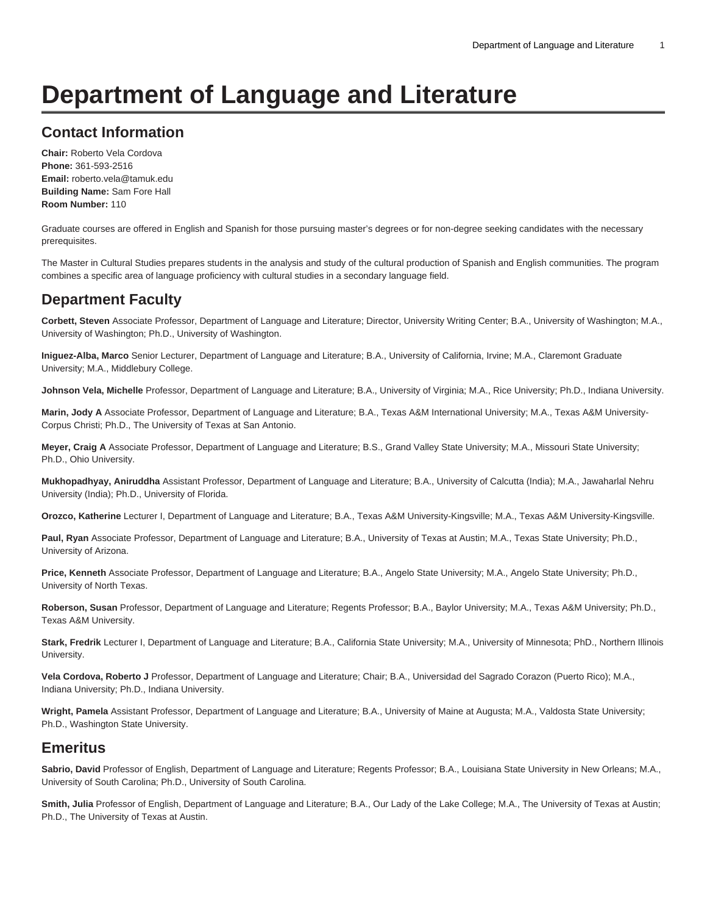# **Department of Language and Literature**

# **Contact Information**

**Chair:** Roberto Vela Cordova **Phone:** 361-593-2516 **Email:** [roberto.vela@tamuk.edu](mailto:roberto.vela@tamuk.edu) **Building Name:** Sam Fore Hall **Room Number:** 110

Graduate courses are offered in English and Spanish for those pursuing master's degrees or for non-degree seeking candidates with the necessary prerequisites.

The Master in Cultural Studies prepares students in the analysis and study of the cultural production of Spanish and English communities. The program combines a specific area of language proficiency with cultural studies in a secondary language field.

# **Department Faculty**

**Corbett, Steven** Associate Professor, Department of Language and Literature; Director, University Writing Center; B.A., University of Washington; M.A., University of Washington; Ph.D., University of Washington.

**Iniguez-Alba, Marco** Senior Lecturer, Department of Language and Literature; B.A., University of California, Irvine; M.A., Claremont Graduate University; M.A., Middlebury College.

**Johnson Vela, Michelle** Professor, Department of Language and Literature; B.A., University of Virginia; M.A., Rice University; Ph.D., Indiana University.

**Marin, Jody A** Associate Professor, Department of Language and Literature; B.A., Texas A&M International University; M.A., Texas A&M University-Corpus Christi; Ph.D., The University of Texas at San Antonio.

**Meyer, Craig A** Associate Professor, Department of Language and Literature; B.S., Grand Valley State University; M.A., Missouri State University; Ph.D., Ohio University.

**Mukhopadhyay, Aniruddha** Assistant Professor, Department of Language and Literature; B.A., University of Calcutta (India); M.A., Jawaharlal Nehru University (India); Ph.D., University of Florida.

**Orozco, Katherine** Lecturer I, Department of Language and Literature; B.A., Texas A&M University-Kingsville; M.A., Texas A&M University-Kingsville.

**Paul, Ryan** Associate Professor, Department of Language and Literature; B.A., University of Texas at Austin; M.A., Texas State University; Ph.D., University of Arizona.

**Price, Kenneth** Associate Professor, Department of Language and Literature; B.A., Angelo State University; M.A., Angelo State University; Ph.D., University of North Texas.

**Roberson, Susan** Professor, Department of Language and Literature; Regents Professor; B.A., Baylor University; M.A., Texas A&M University; Ph.D., Texas A&M University.

**Stark, Fredrik** Lecturer I, Department of Language and Literature; B.A., California State University; M.A., University of Minnesota; PhD., Northern Illinois University.

**Vela Cordova, Roberto J** Professor, Department of Language and Literature; Chair; B.A., Universidad del Sagrado Corazon (Puerto Rico); M.A., Indiana University; Ph.D., Indiana University.

**Wright, Pamela** Assistant Professor, Department of Language and Literature; B.A., University of Maine at Augusta; M.A., Valdosta State University; Ph.D., Washington State University.

# **Emeritus**

**Sabrio, David** Professor of English, Department of Language and Literature; Regents Professor; B.A., Louisiana State University in New Orleans; M.A., University of South Carolina; Ph.D., University of South Carolina.

**Smith, Julia** Professor of English, Department of Language and Literature; B.A., Our Lady of the Lake College; M.A., The University of Texas at Austin; Ph.D., The University of Texas at Austin.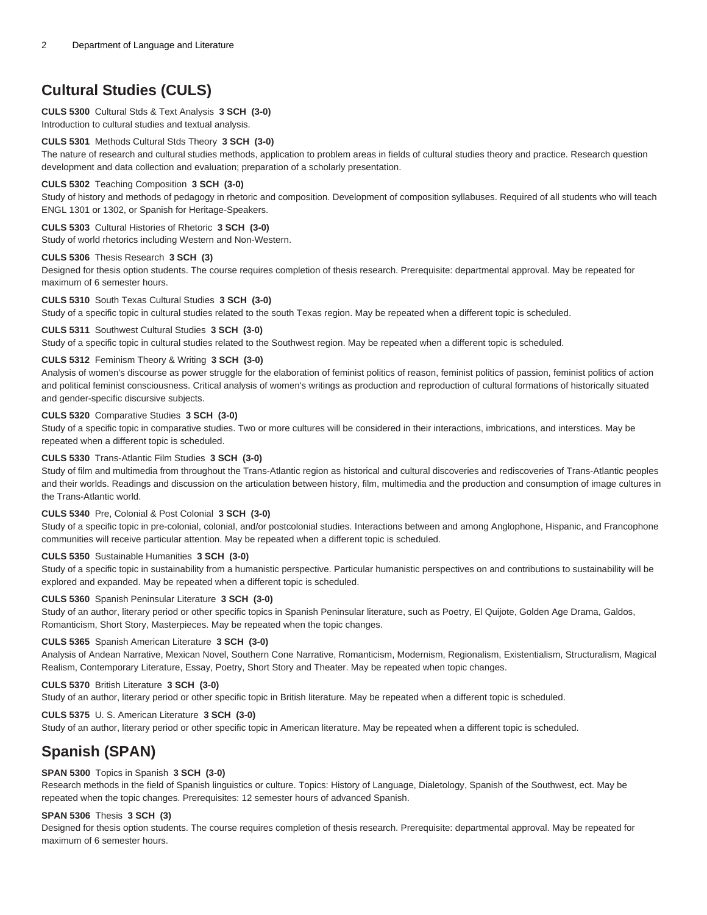# **Cultural Studies (CULS)**

## **CULS 5300** Cultural Stds & Text Analysis **3 SCH (3-0)**

Introduction to cultural studies and textual analysis.

### **CULS 5301** Methods Cultural Stds Theory **3 SCH (3-0)**

The nature of research and cultural studies methods, application to problem areas in fields of cultural studies theory and practice. Research question development and data collection and evaluation; preparation of a scholarly presentation.

#### **CULS 5302** Teaching Composition **3 SCH (3-0)**

Study of history and methods of pedagogy in rhetoric and composition. Development of composition syllabuses. Required of all students who will teach ENGL 1301 or 1302, or Spanish for Heritage-Speakers.

## **CULS 5303** Cultural Histories of Rhetoric **3 SCH (3-0)**

Study of world rhetorics including Western and Non-Western.

#### **CULS 5306** Thesis Research **3 SCH (3)**

Designed for thesis option students. The course requires completion of thesis research. Prerequisite: departmental approval. May be repeated for maximum of 6 semester hours.

### **CULS 5310** South Texas Cultural Studies **3 SCH (3-0)**

Study of a specific topic in cultural studies related to the south Texas region. May be repeated when a different topic is scheduled.

#### **CULS 5311** Southwest Cultural Studies **3 SCH (3-0)**

Study of a specific topic in cultural studies related to the Southwest region. May be repeated when a different topic is scheduled.

#### **CULS 5312** Feminism Theory & Writing **3 SCH (3-0)**

Analysis of women's discourse as power struggle for the elaboration of feminist politics of reason, feminist politics of passion, feminist politics of action and political feminist consciousness. Critical analysis of women's writings as production and reproduction of cultural formations of historically situated and gender-specific discursive subjects.

#### **CULS 5320** Comparative Studies **3 SCH (3-0)**

Study of a specific topic in comparative studies. Two or more cultures will be considered in their interactions, imbrications, and interstices. May be repeated when a different topic is scheduled.

#### **CULS 5330** Trans-Atlantic Film Studies **3 SCH (3-0)**

Study of film and multimedia from throughout the Trans-Atlantic region as historical and cultural discoveries and rediscoveries of Trans-Atlantic peoples and their worlds. Readings and discussion on the articulation between history, film, multimedia and the production and consumption of image cultures in the Trans-Atlantic world.

#### **CULS 5340** Pre, Colonial & Post Colonial **3 SCH (3-0)**

Study of a specific topic in pre-colonial, colonial, and/or postcolonial studies. Interactions between and among Anglophone, Hispanic, and Francophone communities will receive particular attention. May be repeated when a different topic is scheduled.

#### **CULS 5350** Sustainable Humanities **3 SCH (3-0)**

Study of a specific topic in sustainability from a humanistic perspective. Particular humanistic perspectives on and contributions to sustainability will be explored and expanded. May be repeated when a different topic is scheduled.

#### **CULS 5360** Spanish Peninsular Literature **3 SCH (3-0)**

Study of an author, literary period or other specific topics in Spanish Peninsular literature, such as Poetry, El Quijote, Golden Age Drama, Galdos, Romanticism, Short Story, Masterpieces. May be repeated when the topic changes.

#### **CULS 5365** Spanish American Literature **3 SCH (3-0)**

Analysis of Andean Narrative, Mexican Novel, Southern Cone Narrative, Romanticism, Modernism, Regionalism, Existentialism, Structuralism, Magical Realism, Contemporary Literature, Essay, Poetry, Short Story and Theater. May be repeated when topic changes.

#### **CULS 5370** British Literature **3 SCH (3-0)**

Study of an author, literary period or other specific topic in British literature. May be repeated when a different topic is scheduled.

#### **CULS 5375** U. S. American Literature **3 SCH (3-0)**

Study of an author, literary period or other specific topic in American literature. May be repeated when a different topic is scheduled.

# **Spanish (SPAN)**

#### **SPAN 5300** Topics in Spanish **3 SCH (3-0)**

Research methods in the field of Spanish linguistics or culture. Topics: History of Language, Dialetology, Spanish of the Southwest, ect. May be repeated when the topic changes. Prerequisites: 12 semester hours of advanced Spanish.

#### **SPAN 5306** Thesis **3 SCH (3)**

Designed for thesis option students. The course requires completion of thesis research. Prerequisite: departmental approval. May be repeated for maximum of 6 semester hours.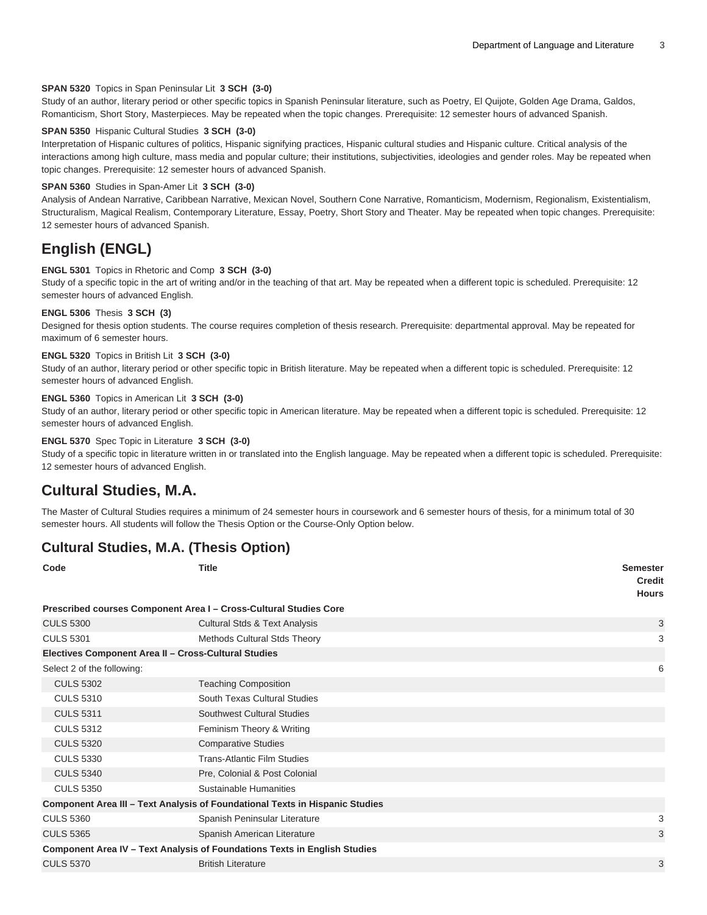#### **SPAN 5320** Topics in Span Peninsular Lit **3 SCH (3-0)**

Study of an author, literary period or other specific topics in Spanish Peninsular literature, such as Poetry, El Quijote, Golden Age Drama, Galdos, Romanticism, Short Story, Masterpieces. May be repeated when the topic changes. Prerequisite: 12 semester hours of advanced Spanish.

#### **SPAN 5350** Hispanic Cultural Studies **3 SCH (3-0)**

Interpretation of Hispanic cultures of politics, Hispanic signifying practices, Hispanic cultural studies and Hispanic culture. Critical analysis of the interactions among high culture, mass media and popular culture; their institutions, subjectivities, ideologies and gender roles. May be repeated when topic changes. Prerequisite: 12 semester hours of advanced Spanish.

#### **SPAN 5360** Studies in Span-Amer Lit **3 SCH (3-0)**

Analysis of Andean Narrative, Caribbean Narrative, Mexican Novel, Southern Cone Narrative, Romanticism, Modernism, Regionalism, Existentialism, Structuralism, Magical Realism, Contemporary Literature, Essay, Poetry, Short Story and Theater. May be repeated when topic changes. Prerequisite: 12 semester hours of advanced Spanish.

### **English (ENGL)**

#### **ENGL 5301** Topics in Rhetoric and Comp **3 SCH (3-0)**

Study of a specific topic in the art of writing and/or in the teaching of that art. May be repeated when a different topic is scheduled. Prerequisite: 12 semester hours of advanced English.

#### **ENGL 5306** Thesis **3 SCH (3)**

Designed for thesis option students. The course requires completion of thesis research. Prerequisite: departmental approval. May be repeated for maximum of 6 semester hours.

#### **ENGL 5320** Topics in British Lit **3 SCH (3-0)**

Study of an author, literary period or other specific topic in British literature. May be repeated when a different topic is scheduled. Prerequisite: 12 semester hours of advanced English.

#### **ENGL 5360** Topics in American Lit **3 SCH (3-0)**

Study of an author, literary period or other specific topic in American literature. May be repeated when a different topic is scheduled. Prerequisite: 12 semester hours of advanced English.

#### **ENGL 5370** Spec Topic in Literature **3 SCH (3-0)**

Study of a specific topic in literature written in or translated into the English language. May be repeated when a different topic is scheduled. Prerequisite: 12 semester hours of advanced English.

### **Cultural Studies, M.A.**

The Master of Cultural Studies requires a minimum of 24 semester hours in coursework and 6 semester hours of thesis, for a minimum total of 30 semester hours. All students will follow the Thesis Option or the Course-Only Option below.

### **Cultural Studies, M.A. (Thesis Option)**

| Code                                                 | <b>Title</b>                                                                        | <b>Semester</b><br><b>Credit</b><br><b>Hours</b> |
|------------------------------------------------------|-------------------------------------------------------------------------------------|--------------------------------------------------|
|                                                      | Prescribed courses Component Area I - Cross-Cultural Studies Core                   |                                                  |
| <b>CULS 5300</b>                                     | <b>Cultural Stds &amp; Text Analysis</b>                                            | 3                                                |
| <b>CULS 5301</b>                                     | Methods Cultural Stds Theory                                                        | 3                                                |
| Electives Component Area II - Cross-Cultural Studies |                                                                                     |                                                  |
| Select 2 of the following:                           |                                                                                     | 6                                                |
| <b>CULS 5302</b>                                     | <b>Teaching Composition</b>                                                         |                                                  |
| <b>CULS 5310</b>                                     | South Texas Cultural Studies                                                        |                                                  |
| <b>CULS 5311</b>                                     | <b>Southwest Cultural Studies</b>                                                   |                                                  |
| <b>CULS 5312</b>                                     | Feminism Theory & Writing                                                           |                                                  |
| <b>CULS 5320</b>                                     | <b>Comparative Studies</b>                                                          |                                                  |
| <b>CULS 5330</b>                                     | <b>Trans-Atlantic Film Studies</b>                                                  |                                                  |
| <b>CULS 5340</b>                                     | Pre, Colonial & Post Colonial                                                       |                                                  |
| <b>CULS 5350</b>                                     | Sustainable Humanities                                                              |                                                  |
|                                                      | <b>Component Area III - Text Analysis of Foundational Texts in Hispanic Studies</b> |                                                  |
| <b>CULS 5360</b>                                     | Spanish Peninsular Literature                                                       | 3                                                |
| <b>CULS 5365</b>                                     | Spanish American Literature                                                         | 3                                                |
|                                                      | Component Area IV - Text Analysis of Foundations Texts in English Studies           |                                                  |
| <b>CULS 5370</b>                                     | <b>British Literature</b>                                                           | 3                                                |